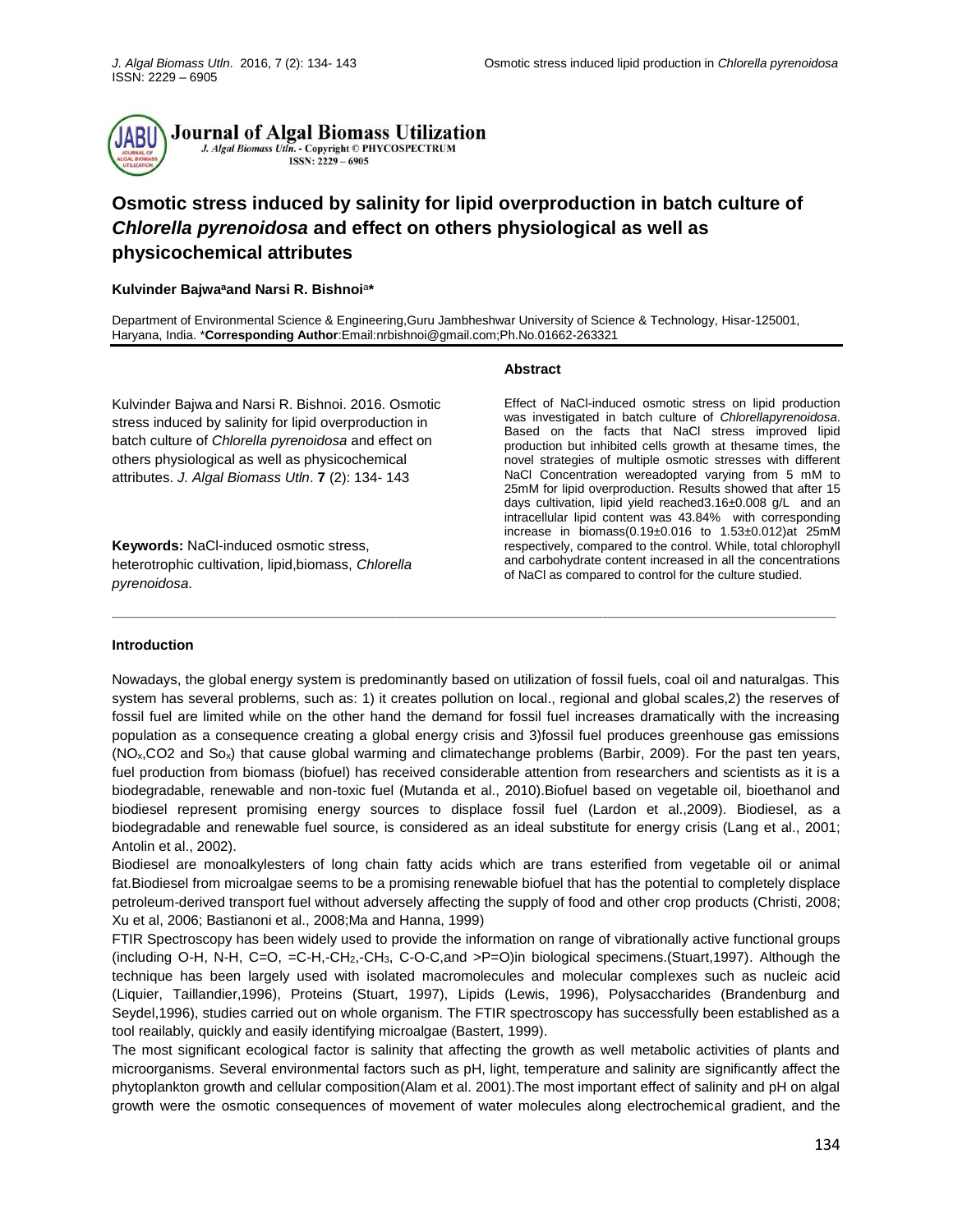

Journal of Algal Biomass Utilization J. Algal Biomass Utln. - Copyright © PHYCOSPECTRUM ISSN: 2229 - 6905

# **Osmotic stress induced by salinity for lipid overproduction in batch culture of**  *Chlorella pyrenoidosa* **and effect on others physiological as well as physicochemical attributes**

#### **Kulvinder Bajwa<sup>a</sup>and Narsi R. Bishnoi**<sup>a</sup> **\***

Department of Environmental Science & Engineering,Guru Jambheshwar University of Science & Technology, Hisar-125001, Haryana, India. \***Corresponding Author**:Email:nrbishnoi@gmail.com;Ph.No.01662-263321

Kulvinder Bajwa and Narsi R. Bishnoi. 2016. Osmotic stress induced by salinity for lipid overproduction in batch culture of *Chlorella pyrenoidosa* and effect on others physiological as well as physicochemical attributes. *J. Algal Biomass Utln*. **7** (2): 134- 143

**Keywords:** NaCl-induced osmotic stress, heterotrophic cultivation, lipid,biomass, *Chlorella pyrenoidosa*.

## **Abstract**

Effect of NaCl-induced osmotic stress on lipid production was investigated in batch culture of *Chlorellapyrenoidosa*. Based on the facts that NaCl stress improved lipid production but inhibited cells growth at thesame times, the novel strategies of multiple osmotic stresses with different NaCl Concentration wereadopted varying from 5 mM to 25mM for lipid overproduction. Results showed that after 15 days cultivation, lipid yield reached3.16±0.008 g/L and an intracellular lipid content was 43.84% with corresponding increase in biomass(0.19±0.016 to 1.53±0.012)at 25mM respectively, compared to the control. While, total chlorophyll and carbohydrate content increased in all the concentrations of NaCl as compared to control for the culture studied.

#### **Introduction**

Nowadays, the global energy system is predominantly based on utilization of fossil fuels, coal oil and naturalgas. This system has several problems, such as: 1) it creates pollution on local., regional and global scales,2) the reserves of fossil fuel are limited while on the other hand the demand for fossil fuel increases dramatically with the increasing population as a consequence creating a global energy crisis and 3)fossil fuel produces greenhouse gas emissions (NOx,CO2 and Sox) that cause global warming and climatechange problems (Barbir, 2009). For the past ten years, fuel production from biomass (biofuel) has received considerable attention from researchers and scientists as it is a biodegradable, renewable and non-toxic fuel (Mutanda et al., 2010).Biofuel based on vegetable oil, bioethanol and biodiesel represent promising energy sources to displace fossil fuel (Lardon et al.,2009). Biodiesel, as a biodegradable and renewable fuel source, is considered as an ideal substitute for energy crisis (Lang et al., 2001; Antolin et al., 2002).

**\_\_\_\_\_\_\_\_\_\_\_\_\_\_\_\_\_\_\_\_\_\_\_\_\_\_\_\_\_\_\_\_\_\_\_\_\_\_\_\_\_\_\_\_\_\_\_\_\_\_\_\_\_\_\_\_\_\_\_\_\_\_\_\_\_\_\_\_\_\_\_\_\_\_\_\_\_\_\_\_\_\_\_\_\_\_\_\_\_\_\_\_\_**

Biodiesel are monoalkylesters of long chain fatty acids which are trans esterified from vegetable oil or animal fat.Biodiesel from microalgae seems to be a promising renewable biofuel that has the potential to completely displace petroleum-derived transport fuel without adversely affecting the supply of food and other crop products (Christi, 2008; Xu et al, 2006; Bastianoni et al., 2008;Ma and Hanna, 1999)

FTIR Spectroscopy has been widely used to provide the information on range of vibrationally active functional groups (including O-H, N-H, C=O, =C-H,-CH2,-CH3, C-O-C,and >P=O)in biological specimens.(Stuart,1997). Although the technique has been largely used with isolated macromolecules and molecular complexes such as nucleic acid (Liquier, Taillandier,1996), Proteins (Stuart, 1997), Lipids (Lewis, 1996), Polysaccharides (Brandenburg and Seydel,1996), studies carried out on whole organism. The FTIR spectroscopy has successfully been established as a tool reailably, quickly and easily identifying microalgae (Bastert, 1999).

The most significant ecological factor is salinity that affecting the growth as well metabolic activities of plants and microorganisms. Several environmental factors such as pH, light, temperature and salinity are significantly affect the phytoplankton growth and cellular composition(Alam et al. 2001).The most important effect of salinity and pH on algal growth were the osmotic consequences of movement of water molecules along electrochemical gradient, and the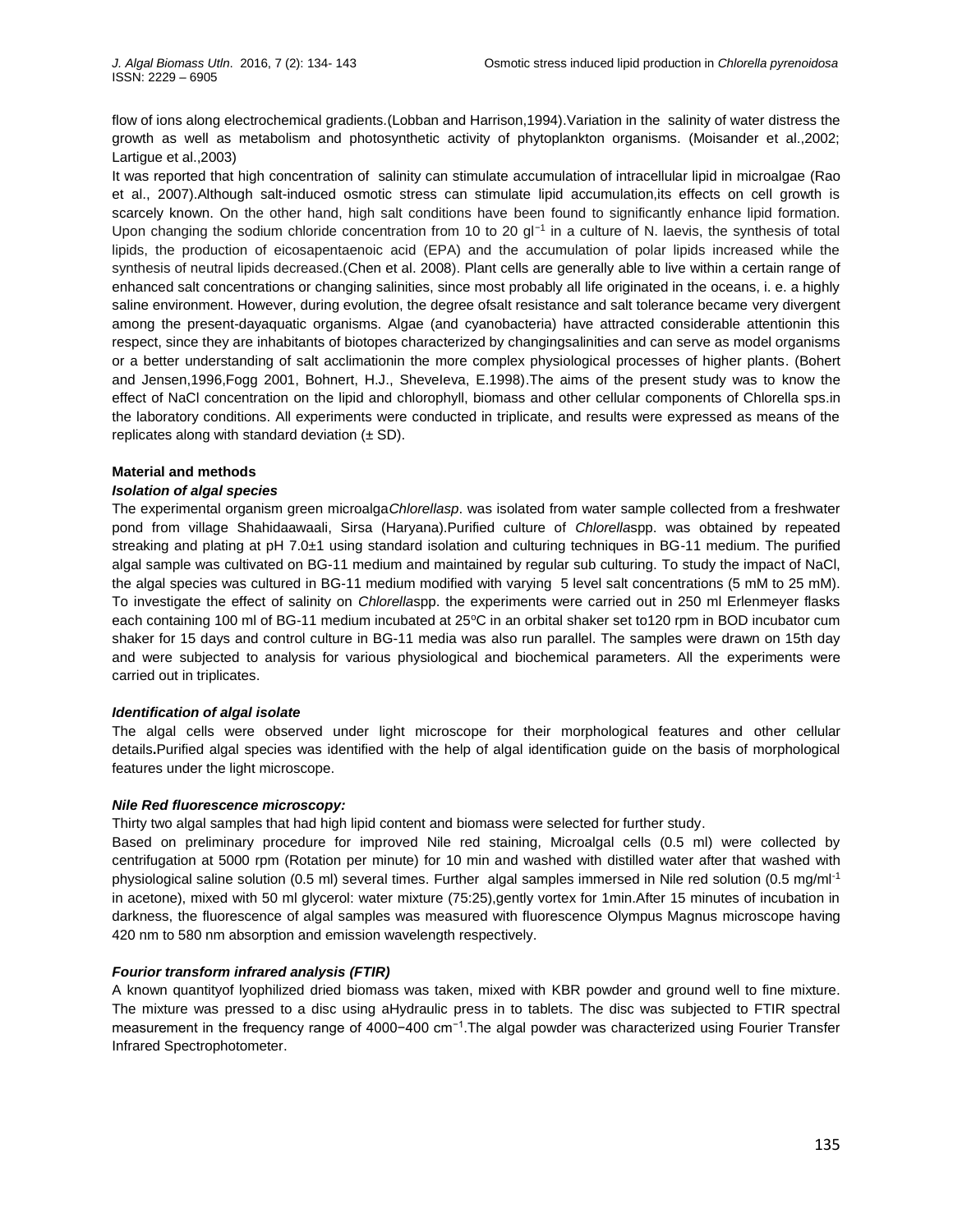flow of ions along electrochemical gradients.(Lobban and Harrison,1994).Variation in the salinity of water distress the growth as well as metabolism and photosynthetic activity of phytoplankton organisms. (Moisander et al.,2002; Lartigue et al.,2003)

It was reported that high concentration of salinity can stimulate accumulation of intracellular lipid in microalgae (Rao et al., 2007).Although salt-induced osmotic stress can stimulate lipid accumulation,its effects on cell growth is scarcely known. On the other hand, high salt conditions have been found to significantly enhance lipid formation. Upon changing the sodium chloride concentration from 10 to 20 gl<sup>-1</sup> in a culture of N. laevis, the synthesis of total lipids, the production of eicosapentaenoic acid (EPA) and the accumulation of polar lipids increased while the synthesis of neutral lipids decreased.(Chen et al. 2008). Plant cells are generally able to live within a certain range of enhanced salt concentrations or changing salinities, since most probably all life originated in the oceans, i. e. a highly saline environment. However, during evolution, the degree ofsalt resistance and salt tolerance became very divergent among the present-dayaquatic organisms. Algae (and cyanobacteria) have attracted considerable attentionin this respect, since they are inhabitants of biotopes characterized by changingsalinities and can serve as model organisms or a better understanding of salt acclimationin the more complex physiological processes of higher plants. (Bohert and Jensen,1996,Fogg 2001, Bohnert, H.J., SheveIeva, E.1998).The aims of the present study was to know the effect of NaCl concentration on the lipid and chlorophyll, biomass and other cellular components of Chlorella sps.in the laboratory conditions. All experiments were conducted in triplicate, and results were expressed as means of the replicates along with standard deviation  $(\pm SD)$ .

## **Material and methods**

## *Isolation of algal species*

The experimental organism green microalga*Chlorellasp*. was isolated from water sample collected from a freshwater pond from village Shahidaawaali, Sirsa (Haryana).Purified culture of *Chlorella*spp. was obtained by repeated streaking and plating at pH 7.0±1 using standard isolation and culturing techniques in BG-11 medium. The purified algal sample was cultivated on BG-11 medium and maintained by regular sub culturing. To study the impact of NaCl, the algal species was cultured in BG-11 medium modified with varying 5 level salt concentrations (5 mM to 25 mM). To investigate the effect of salinity on *Chlorella*spp. the experiments were carried out in 250 ml Erlenmeyer flasks each containing 100 ml of BG-11 medium incubated at 25°C in an orbital shaker set to120 rpm in BOD incubator cum shaker for 15 days and control culture in BG-11 media was also run parallel. The samples were drawn on 15th day and were subjected to analysis for various physiological and biochemical parameters. All the experiments were carried out in triplicates.

#### *Identification of algal isolate*

The algal cells were observed under light microscope for their morphological features and other cellular details**.**Purified algal species was identified with the help of algal identification guide on the basis of morphological features under the light microscope.

## *Nile Red fluorescence microscopy:*

Thirty two algal samples that had high lipid content and biomass were selected for further study.

Based on preliminary procedure for improved Nile red staining, Microalgal cells (0.5 ml) were collected by centrifugation at 5000 rpm (Rotation per minute) for 10 min and washed with distilled water after that washed with physiological saline solution (0.5 ml) several times. Further algal samples immersed in Nile red solution (0.5 mg/ml-1 in acetone), mixed with 50 ml glycerol: water mixture (75:25),gently vortex for 1min.After 15 minutes of incubation in darkness, the fluorescence of algal samples was measured with fluorescence Olympus Magnus microscope having 420 nm to 580 nm absorption and emission wavelength respectively.

# *Fourior transform infrared analysis (FTIR)*

A known quantityof lyophilized dried biomass was taken, mixed with KBR powder and ground well to fine mixture. The mixture was pressed to a disc using aHydraulic press in to tablets. The disc was subjected to FTIR spectral measurement in the frequency range of 4000−400 cm<sup>-1</sup>. The algal powder was characterized using Fourier Transfer Infrared Spectrophotometer.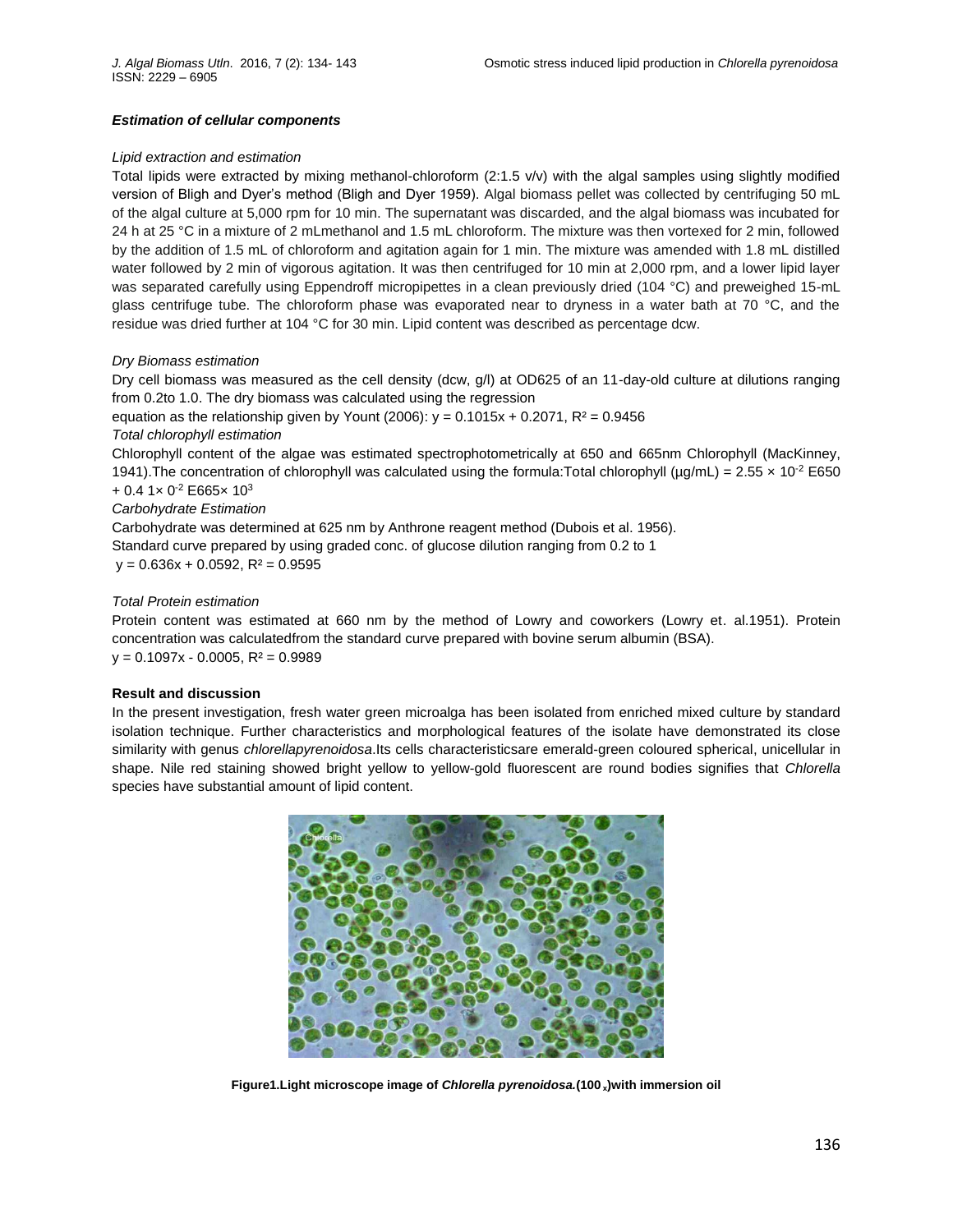## *Estimation of cellular components*

### *Lipid extraction and estimation*

Total lipids were extracted by mixing methanol-chloroform (2:1.5 v/v) with the algal samples using slightly modified version of Bligh and Dyer's method (Bligh and Dyer 1959). Algal biomass pellet was collected by centrifuging 50 mL of the algal culture at 5,000 rpm for 10 min. The supernatant was discarded, and the algal biomass was incubated for 24 h at 25 °C in a mixture of 2 mLmethanol and 1.5 mL chloroform. The mixture was then vortexed for 2 min, followed by the addition of 1.5 mL of chloroform and agitation again for 1 min. The mixture was amended with 1.8 mL distilled water followed by 2 min of vigorous agitation. It was then centrifuged for 10 min at 2,000 rpm, and a lower lipid layer was separated carefully using Eppendroff micropipettes in a clean previously dried (104 °C) and preweighed 15-mL glass centrifuge tube. The chloroform phase was evaporated near to dryness in a water bath at 70 °C, and the residue was dried further at 104 °C for 30 min. Lipid content was described as percentage dcw.

## *Dry Biomass estimation*

Dry cell biomass was measured as the cell density (dcw, g/l) at OD625 of an 11-day-old culture at dilutions ranging from 0.2to 1.0. The dry biomass was calculated using the regression

equation as the relationship given by Yount (2006):  $y = 0.1015x + 0.2071$ ,  $R^2 = 0.9456$ *Total chlorophyll estimation*

Chlorophyll content of the algae was estimated spectrophotometrically at 650 and 665nm Chlorophyll (MacKinney, 1941). The concentration of chlorophyll was calculated using the formula: Total chlorophyll ( $\mu$ g/mL) = 2.55  $\times$  10<sup>-2</sup> E650 + 0.4 1× 0<sup>-2</sup> E665× 10<sup>3</sup>

## *Carbohydrate Estimation*

Carbohydrate was determined at 625 nm by Anthrone reagent method (Dubois et al. 1956).

Standard curve prepared by using graded conc. of glucose dilution ranging from 0.2 to 1  $y = 0.636x + 0.0592$ ,  $R^2 = 0.9595$ 

# *Total Protein estimation*

Protein content was estimated at 660 nm by the method of Lowry and coworkers (Lowry et. al.1951). Protein concentration was calculatedfrom the standard curve prepared with bovine serum albumin (BSA).  $y = 0.1097x - 0.0005$ ,  $R^2 = 0.9989$ 

# **Result and discussion**

In the present investigation, fresh water green microalga has been isolated from enriched mixed culture by standard isolation technique. Further characteristics and morphological features of the isolate have demonstrated its close similarity with genus *chlorellapyrenoidosa*.Its cells characteristicsare emerald-green coloured spherical, unicellular in shape. Nile red staining showed bright yellow to yellow-gold fluorescent are round bodies signifies that *Chlorella* species have substantial amount of lipid content.



**Figure1.Light microscope image of** *Chlorella pyrenoidosa.***(100 <sup>x</sup>)with immersion oil**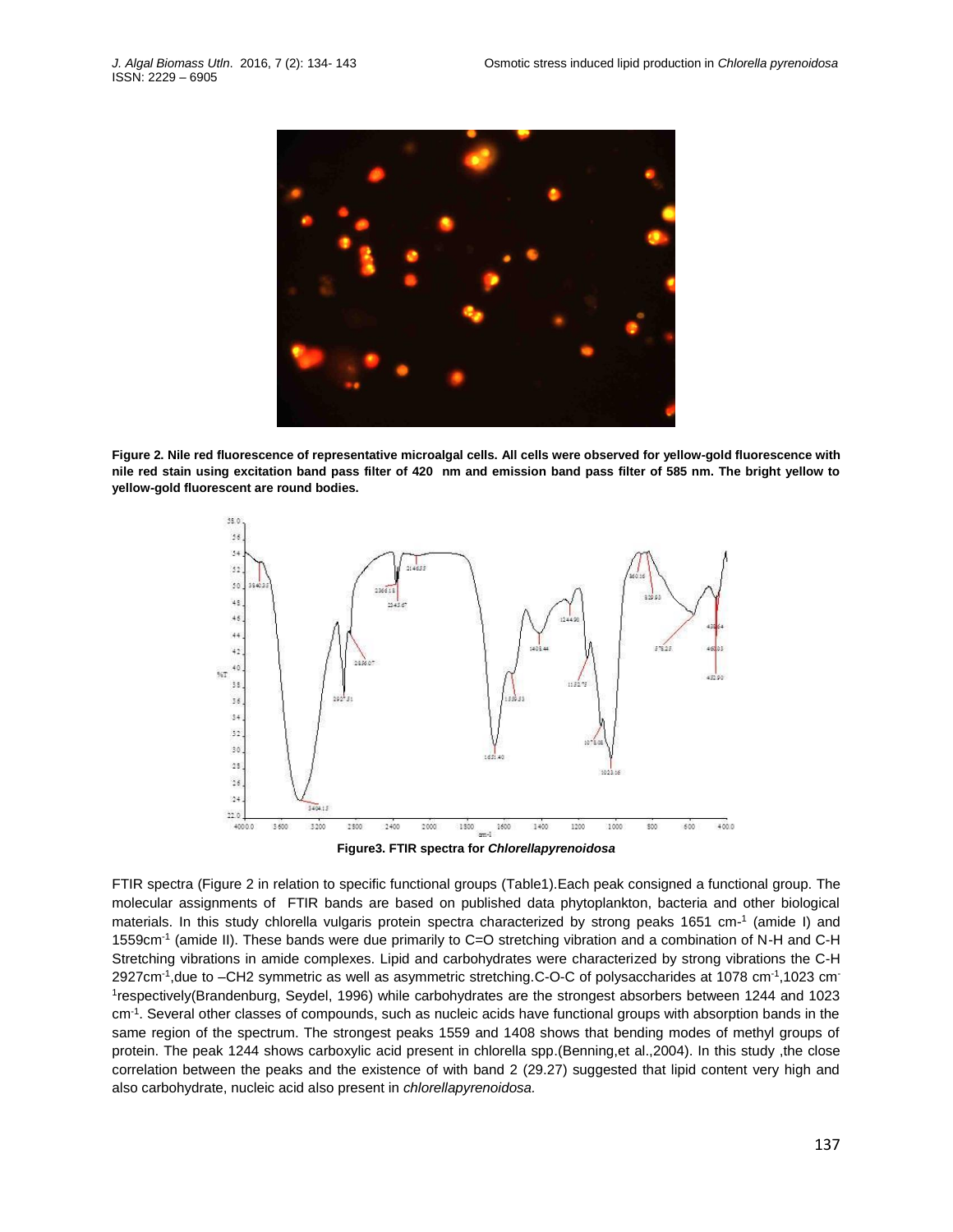

**Figure 2. Nile red fluorescence of representative microalgal cells. All cells were observed for yellow-gold fluorescence with nile red stain using excitation band pass filter of 420 nm and emission band pass filter of 585 nm. The bright yellow to yellow-gold fluorescent are round bodies.**



**Figure3. FTIR spectra for** *Chlorellapyrenoidosa*

FTIR spectra (Figure 2 in relation to specific functional groups (Table1).Each peak consigned a functional group. The molecular assignments of FTIR bands are based on published data phytoplankton, bacteria and other biological materials. In this study chlorella vulgaris protein spectra characterized by strong peaks 1651 cm-1 (amide I) and 1559cm-1 (amide II). These bands were due primarily to C=O stretching vibration and a combination of N-H and C-H Stretching vibrations in amide complexes. Lipid and carbohydrates were characterized by strong vibrations the C-H 2927cm<sup>-1</sup>,due to -CH2 symmetric as well as asymmetric stretching.C-O-C of polysaccharides at 1078 cm<sup>-1</sup>,1023 cm<sup>-</sup> 1 respectively(Brandenburg, Seydel, 1996) while carbohydrates are the strongest absorbers between 1244 and 1023 cm-1 . Several other classes of compounds, such as nucleic acids have functional groups with absorption bands in the same region of the spectrum. The strongest peaks 1559 and 1408 shows that bending modes of methyl groups of protein. The peak 1244 shows carboxylic acid present in chlorella spp.(Benning,et al.,2004). In this study ,the close correlation between the peaks and the existence of with band 2 (29.27) suggested that lipid content very high and also carbohydrate, nucleic acid also present in *chlorellapyrenoidosa.*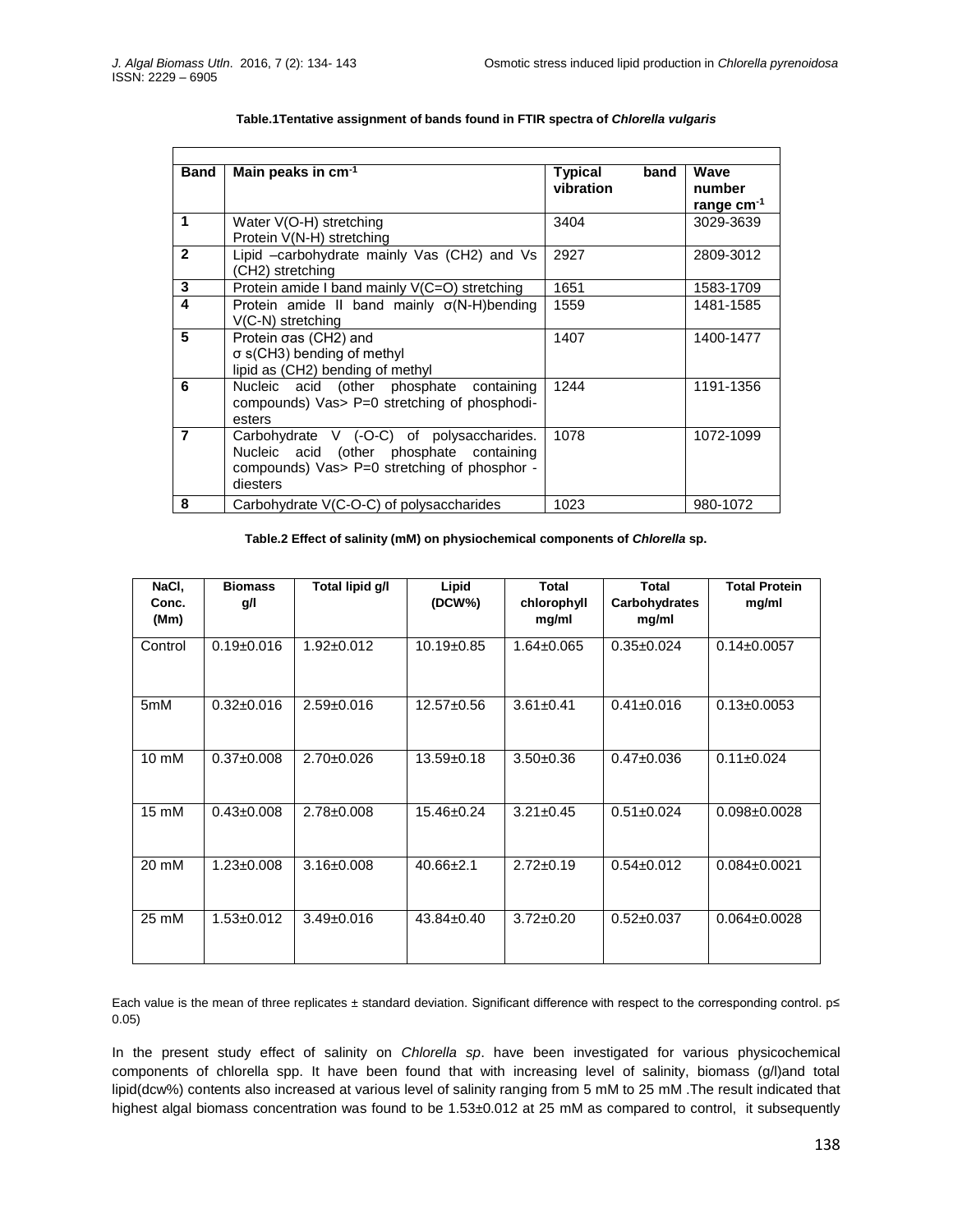h

| <b>Band</b>    | Main peaks in cm <sup>-1</sup>                     | <b>Typical</b><br>band<br>vibration | Wave<br>number  |  |  |  |  |  |  |
|----------------|----------------------------------------------------|-------------------------------------|-----------------|--|--|--|--|--|--|
|                |                                                    |                                     | range $cm^{-1}$ |  |  |  |  |  |  |
| 1              | Water V(O-H) stretching                            | 3404                                | 3029-3639       |  |  |  |  |  |  |
|                | Protein V(N-H) stretching                          |                                     |                 |  |  |  |  |  |  |
| $\overline{2}$ | Lipid -carbohydrate mainly Vas (CH2) and Vs        | 2927                                | 2809-3012       |  |  |  |  |  |  |
|                | (CH2) stretching                                   |                                     |                 |  |  |  |  |  |  |
| 3              | Protein amide I band mainly V(C=O) stretching      | 1651                                | 1583-1709       |  |  |  |  |  |  |
| 4              | Protein amide II band mainly $\sigma(N-H)$ bending | 1559                                | 1481-1585       |  |  |  |  |  |  |
|                | V(C-N) stretching                                  |                                     |                 |  |  |  |  |  |  |
| 5              | Protein oas (CH2) and                              | 1407                                | 1400-1477       |  |  |  |  |  |  |
|                | $\sigma$ s(CH3) bending of methyl                  |                                     |                 |  |  |  |  |  |  |
|                | lipid as (CH2) bending of methyl                   |                                     |                 |  |  |  |  |  |  |
| 6              | Nucleic acid (other phosphate containing           | 1244                                | 1191-1356       |  |  |  |  |  |  |
|                | compounds) Vas> P=0 stretching of phosphodi-       |                                     |                 |  |  |  |  |  |  |
|                | esters                                             |                                     |                 |  |  |  |  |  |  |
| $\overline{7}$ | Carbohydrate V (-O-C) of polysaccharides.          | 1078                                | 1072-1099       |  |  |  |  |  |  |
|                | Nucleic acid (other phosphate containing           |                                     |                 |  |  |  |  |  |  |
|                | compounds) Vas> P=0 stretching of phosphor -       |                                     |                 |  |  |  |  |  |  |
|                | diesters                                           |                                     |                 |  |  |  |  |  |  |
| 8              | Carbohydrate V(C-O-C) of polysaccharides           | 1023                                | 980-1072        |  |  |  |  |  |  |

#### **Table.1Tentative assignment of bands found in FTIR spectra of** *Chlorella vulgaris*

## **Table.2 Effect of salinity (mM) on physiochemical components of** *Chlorella* **sp.**

| NaCI,<br>Conc.<br>(Mm) | <b>Biomass</b><br>g/l | Total lipid g/l  | Lipid<br>(DCW%)  | <b>Total</b><br>chlorophyll<br>mg/ml | Total<br>Carbohydrates<br>mg/ml | <b>Total Protein</b><br>mg/ml |
|------------------------|-----------------------|------------------|------------------|--------------------------------------|---------------------------------|-------------------------------|
| Control                | $0.19 \pm 0.016$      | $1.92 \pm 0.012$ | 10.19±0.85       | $1.64 \pm 0.065$                     | $0.35 \pm 0.024$                | $0.14 \pm 0.0057$             |
| 5mM                    | $0.32 \pm 0.016$      | $2.59 \pm 0.016$ | $12.57 \pm 0.56$ | $3.61 \pm 0.41$                      | $0.41 \pm 0.016$                | $0.13 \pm 0.0053$             |
| $10 \text{ mM}$        | $0.37 \pm 0.008$      | $2.70 \pm 0.026$ | $13.59 \pm 0.18$ | $3.50 \pm 0.36$                      | $0.47 \pm 0.036$                | $0.11 \pm 0.024$              |
| $15 \text{ mM}$        | $0.43 \pm 0.008$      | $2.78 \pm 0.008$ | $15.46 \pm 0.24$ | $3.21 \pm 0.45$                      | $0.51 \pm 0.024$                | $0.098 \pm 0.0028$            |
| 20 mM                  | $1.23 \pm 0.008$      | $3.16 \pm 0.008$ | $40.66 \pm 2.1$  | $2.72 \pm 0.19$                      | $0.54 \pm 0.012$                | $0.084 \pm 0.0021$            |
| 25 mM                  | $1.53 \pm 0.012$      | $3.49 \pm 0.016$ | $43.84 \pm 0.40$ | $3.72 \pm 0.20$                      | $0.52 \pm 0.037$                | $0.064 \pm 0.0028$            |

Each value is the mean of three replicates ± standard deviation. Significant difference with respect to the corresponding control. p≤ 0.05)

In the present study effect of salinity on *Chlorella sp*. have been investigated for various physicochemical components of chlorella spp. It have been found that with increasing level of salinity, biomass (g/l)and total lipid(dcw%) contents also increased at various level of salinity ranging from 5 mM to 25 mM .The result indicated that highest algal biomass concentration was found to be 1.53±0.012 at 25 mM as compared to control, it subsequently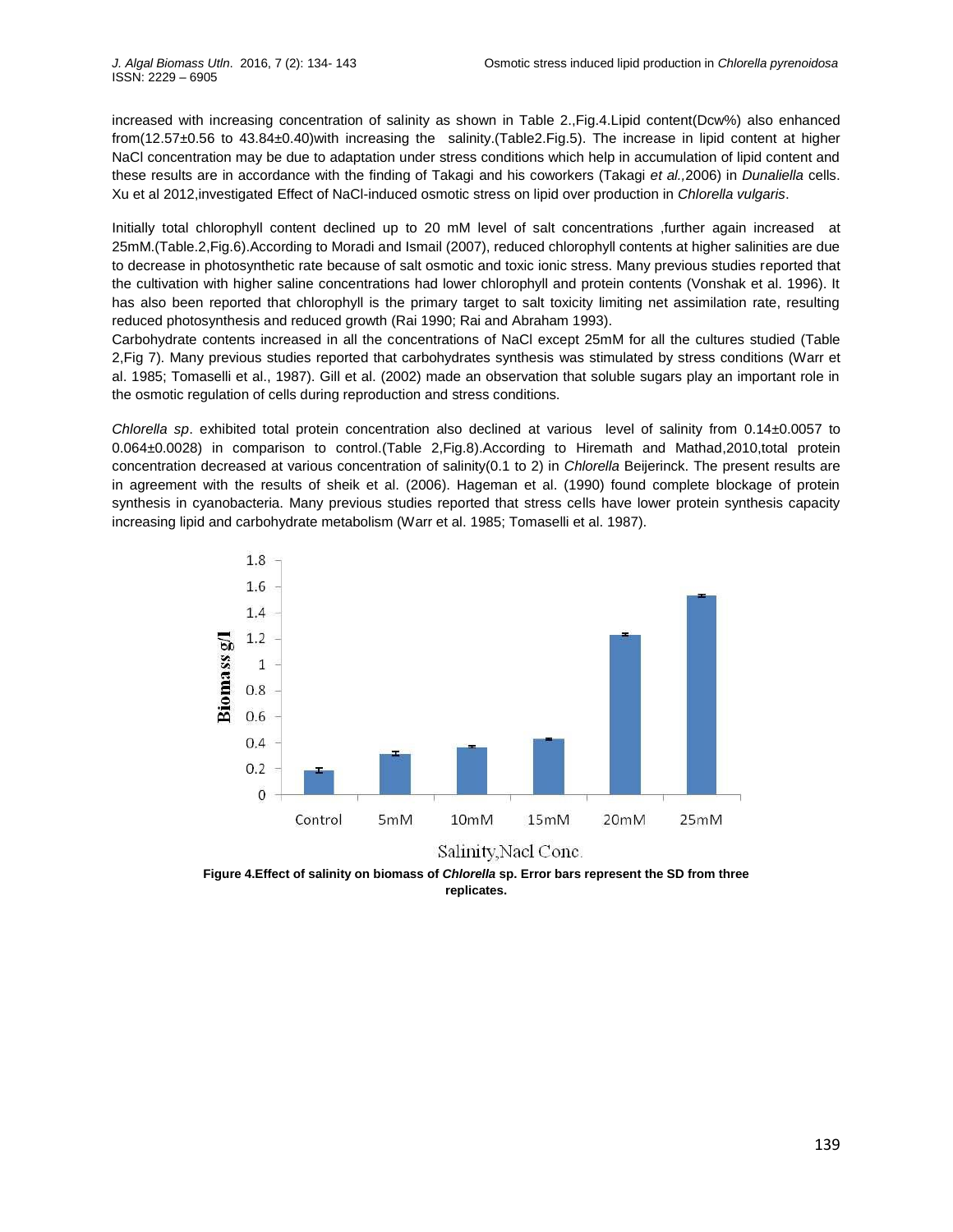increased with increasing concentration of salinity as shown in Table 2.,Fig.4.Lipid content(Dcw%) also enhanced from(12.57±0.56 to 43.84±0.40)with increasing the salinity.(Table2.Fig.5). The increase in lipid content at higher NaCl concentration may be due to adaptation under stress conditions which help in accumulation of lipid content and these results are in accordance with the finding of Takagi and his coworkers (Takagi *et al.,*2006) in *Dunaliella* cells. Xu et al 2012,investigated Effect of NaCl-induced osmotic stress on lipid over production in *Chlorella vulgaris*.

Initially total chlorophyll content declined up to 20 mM level of salt concentrations ,further again increased at 25mM.(Table.2,Fig.6).According to Moradi and Ismail (2007), reduced chlorophyll contents at higher salinities are due to decrease in photosynthetic rate because of salt osmotic and toxic ionic stress. Many previous studies reported that the cultivation with higher saline concentrations had lower chlorophyll and protein contents (Vonshak et al. 1996). It has also been reported that chlorophyll is the primary target to salt toxicity limiting net assimilation rate, resulting reduced photosynthesis and reduced growth (Rai 1990; Rai and Abraham 1993).

Carbohydrate contents increased in all the concentrations of NaCl except 25mM for all the cultures studied (Table 2,Fig 7). Many previous studies reported that carbohydrates synthesis was stimulated by stress conditions (Warr et al. 1985; Tomaselli et al., 1987). Gill et al. (2002) made an observation that soluble sugars play an important role in the osmotic regulation of cells during reproduction and stress conditions.

*Chlorella sp*. exhibited total protein concentration also declined at various level of salinity from 0.14±0.0057 to 0.064±0.0028) in comparison to control.(Table 2,Fig.8).According to Hiremath and Mathad,2010,total protein concentration decreased at various concentration of salinity(0.1 to 2) in *Chlorella* Beijerinck. The present results are in agreement with the results of sheik et al. (2006). Hageman et al. (1990) found complete blockage of protein synthesis in cyanobacteria. Many previous studies reported that stress cells have lower protein synthesis capacity increasing lipid and carbohydrate metabolism (Warr et al. 1985; Tomaselli et al. 1987).



**Figure 4.Effect of salinity on biomass of** *Chlorella* **sp. Error bars represent the SD from three replicates.**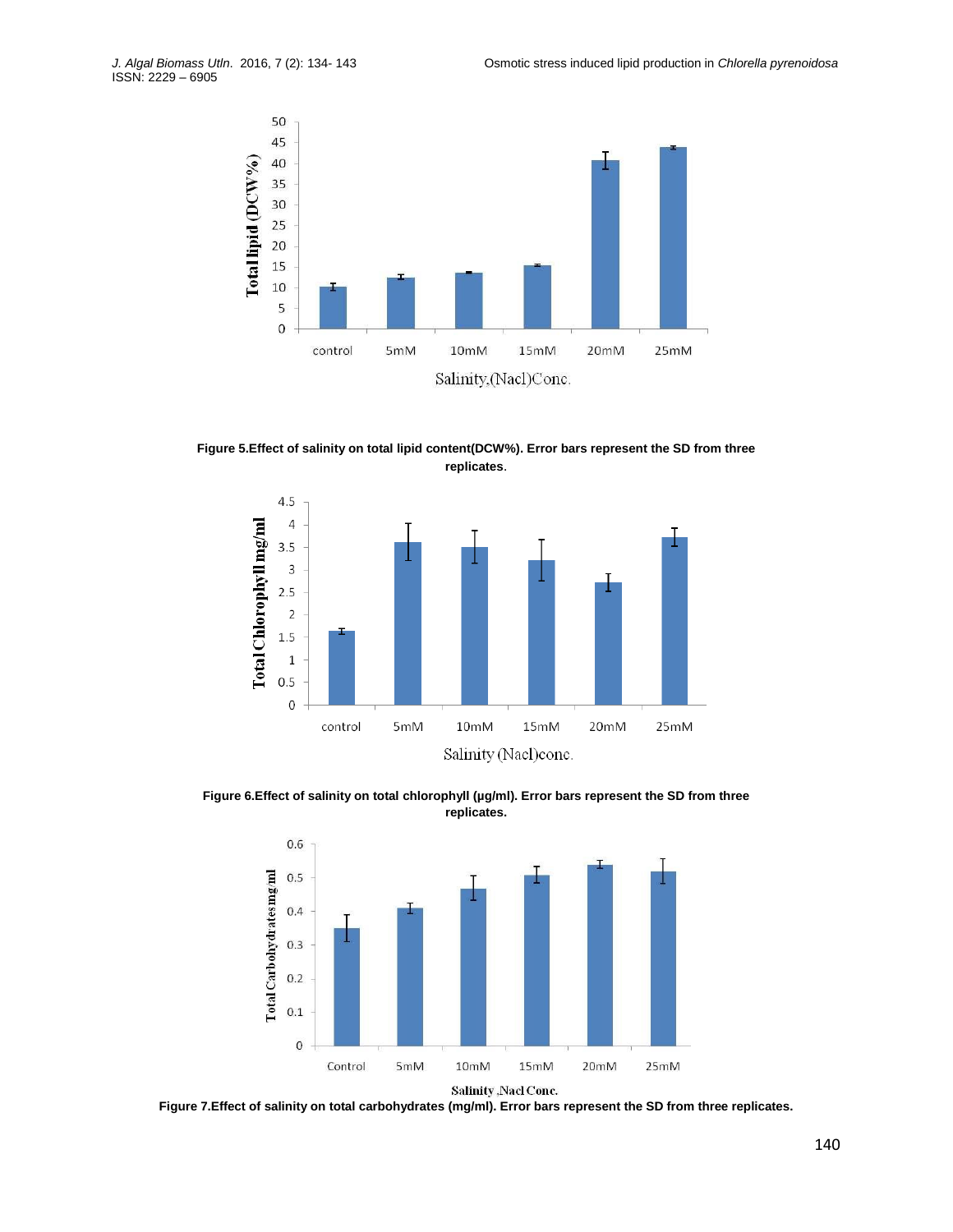

**Figure 5.Effect of salinity on total lipid content(DCW%). Error bars represent the SD from three replicates**.



Figure 6.Effect of salinity on total chlorophyll (µg/ml). Error bars represent the SD from three **replicates.**



Salinity, Nacl Conc.

**Figure 7.Effect of salinity on total carbohydrates (mg/ml). Error bars represent the SD from three replicates.**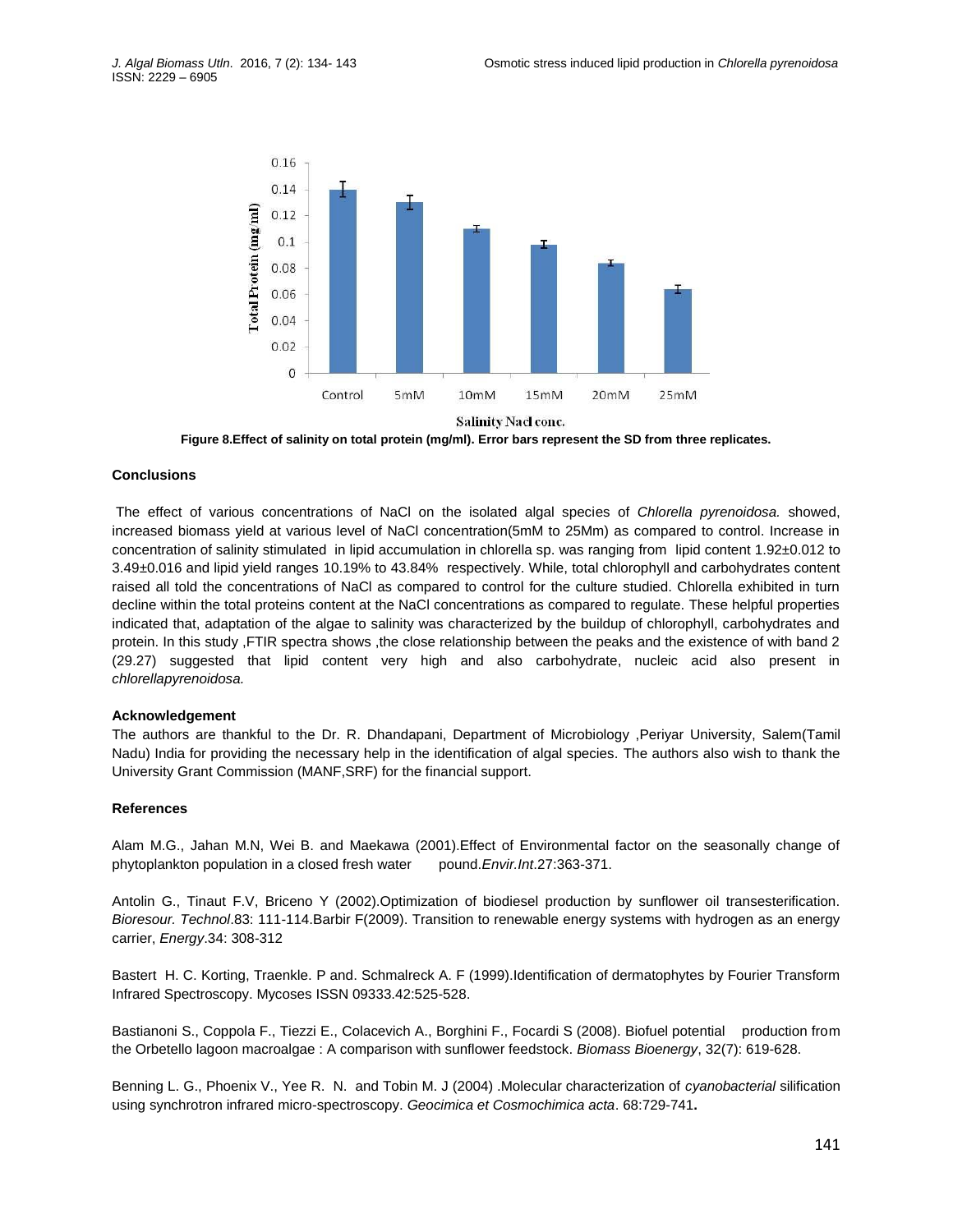

**Figure 8.Effect of salinity on total protein (mg/ml). Error bars represent the SD from three replicates.**

## **Conclusions**

The effect of various concentrations of NaCl on the isolated algal species of *Chlorella pyrenoidosa.* showed, increased biomass yield at various level of NaCl concentration(5mM to 25Mm) as compared to control. Increase in concentration of salinity stimulated in lipid accumulation in chlorella sp. was ranging from lipid content 1.92±0.012 to 3.49±0.016 and lipid yield ranges 10.19% to 43.84% respectively. While, total chlorophyll and carbohydrates content raised all told the concentrations of NaCl as compared to control for the culture studied. Chlorella exhibited in turn decline within the total proteins content at the NaCl concentrations as compared to regulate. These helpful properties indicated that, adaptation of the algae to salinity was characterized by the buildup of chlorophyll, carbohydrates and protein. In this study ,FTIR spectra shows ,the close relationship between the peaks and the existence of with band 2 (29.27) suggested that lipid content very high and also carbohydrate, nucleic acid also present in *chlorellapyrenoidosa.*

### **Acknowledgement**

The authors are thankful to the Dr. R. Dhandapani, Department of Microbiology ,Periyar University, Salem(Tamil Nadu) India for providing the necessary help in the identification of algal species. The authors also wish to thank the University Grant Commission (MANF,SRF) for the financial support.

#### **References**

Alam M.G., Jahan M.N, Wei B. and Maekawa (2001).Effect of Environmental factor on the seasonally change of phytoplankton population in a closed fresh water pound.*Envir.Int*.27:363-371.

Antolin G., Tinaut F.V, Briceno Y (2002).Optimization of biodiesel production by sunflower oil transesterification. *Bioresour. Technol*.83: 111-114.Barbir F(2009). Transition to renewable energy systems with hydrogen as an energy carrier, *Energy*.34: 308-312

Bastert H. C. Korting, Traenkle. P and. Schmalreck A. F (1999).Identification of dermatophytes by Fourier Transform Infrared Spectroscopy. Mycoses ISSN 09333.42:525-528.

Bastianoni S., Coppola F., Tiezzi E., Colacevich A., Borghini F., Focardi S (2008). Biofuel potential production from the Orbetello lagoon macroalgae : A comparison with sunflower feedstock. *Biomass Bioenergy*, 32(7): 619-628.

Benning L. G., Phoenix V., Yee R. N. and Tobin M. J (2004) .Molecular characterization of *cyanobacterial* silification using synchrotron infrared micro-spectroscopy. *Geocimica et Cosmochimica acta*. 68:729-741**.**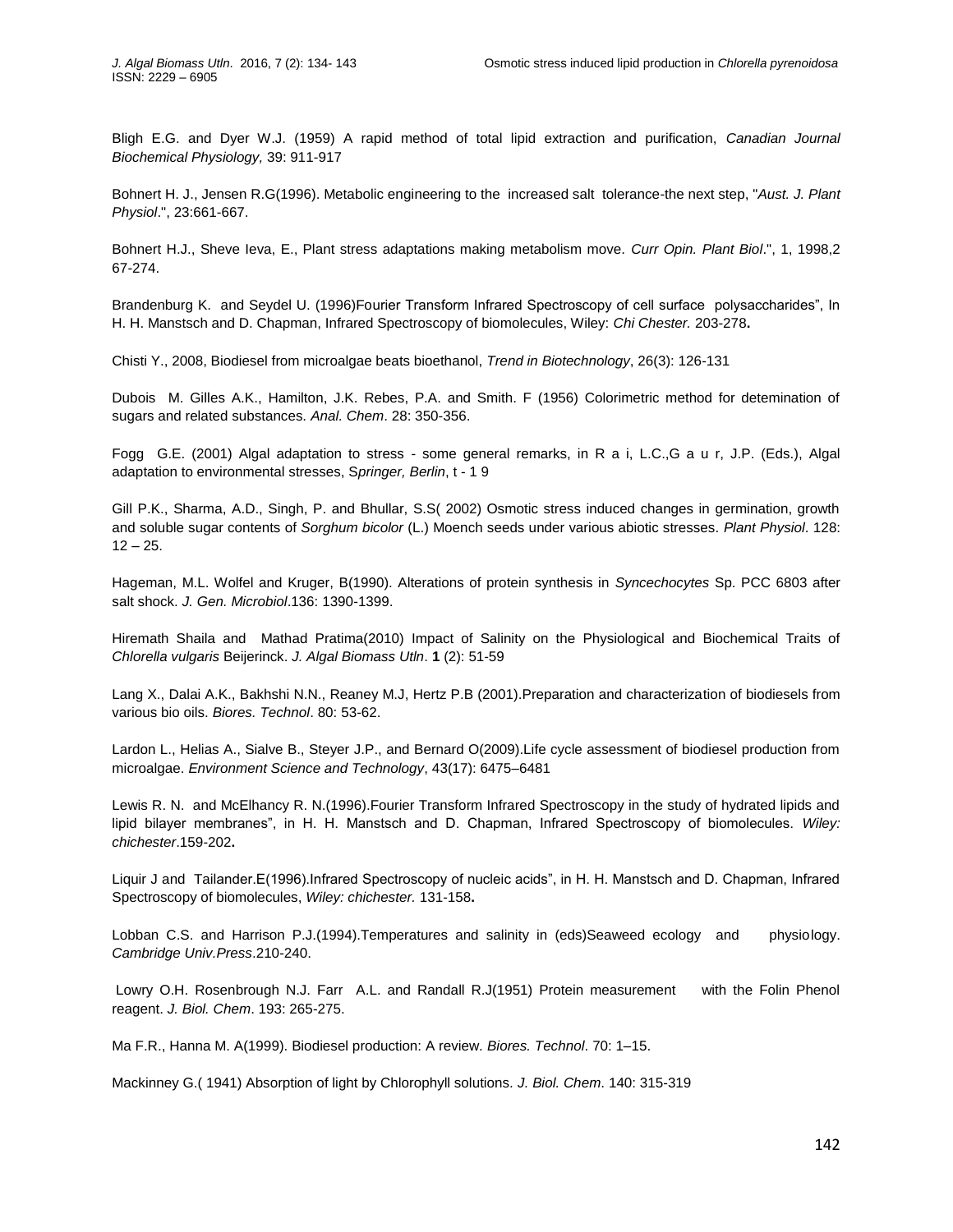Bligh E.G. and Dyer W.J. (1959) A rapid method of total lipid extraction and purification, *Canadian Journal Biochemical Physiology,* 39: 911-917

Bohnert H. J., Jensen R.G(1996). Metabolic engineering to the increased salt tolerance-the next step, "*Aust. J. Plant Physiol*.", 23:661-667.

Bohnert H.J., Sheve Ieva, E., Plant stress adaptations making metabolism move. *Curr Opin. Plant Biol*.", 1, 1998,2 67-274.

Brandenburg K. and Seydel U. (1996)Fourier Transform Infrared Spectroscopy of cell surface polysaccharides", In H. H. Manstsch and D. Chapman, Infrared Spectroscopy of biomolecules, Wiley: *Chi Chester.* 203-278**.**

Chisti Y., 2008, Biodiesel from microalgae beats bioethanol, *Trend in Biotechnology*, 26(3): 126-131

Dubois M. Gilles A.K., Hamilton, J.K. Rebes, P.A. and Smith. F (1956) Colorimetric method for detemination of sugars and related substances. *Anal. Chem*. 28: 350-356.

Fogg G.E. (2001) Algal adaptation to stress - some general remarks, in R a i, L.C.,G a u r, J.P. (Eds.), Algal adaptation to environmental stresses, S*pringer, Berlin*, t - 1 9

Gill P.K., Sharma, A.D., Singh, P. and Bhullar, S.S( 2002) Osmotic stress induced changes in germination, growth and soluble sugar contents of *Sorghum bicolor* (L.) Moench seeds under various abiotic stresses. *Plant Physiol*. 128:  $12 - 25.$ 

Hageman, M.L. Wolfel and Kruger, B(1990). Alterations of protein synthesis in *Syncechocytes* Sp. PCC 6803 after salt shock. *J. Gen. Microbiol*.136: 1390-1399.

Hiremath Shaila and Mathad Pratima(2010) Impact of Salinity on the Physiological and Biochemical Traits of *Chlorella vulgaris* Beijerinck. *J. Algal Biomass Utln*. **1** (2): 51-59

Lang X., Dalai A.K., Bakhshi N.N., Reaney M.J, Hertz P.B (2001).Preparation and characterization of biodiesels from various bio oils. *Biores. Technol*. 80: 53-62.

Lardon L., Helias A., Sialve B., Steyer J.P., and Bernard O(2009).Life cycle assessment of biodiesel production from microalgae. *Environment Science and Technology*, 43(17): 6475–6481

Lewis R. N. and McElhancy R. N.(1996).Fourier Transform Infrared Spectroscopy in the study of hydrated lipids and lipid bilayer membranes", in H. H. Manstsch and D. Chapman, Infrared Spectroscopy of biomolecules. *Wiley: chichester*.159-202**.**

Liquir J and Tailander.E(1996).Infrared Spectroscopy of nucleic acids", in H. H. Manstsch and D. Chapman, Infrared Spectroscopy of biomolecules, *Wiley: chichester.* 131-158**.**

Lobban C.S. and Harrison P.J.(1994).Temperatures and salinity in (eds)Seaweed ecology and physiology. *Cambridge Univ.Press*.210-240.

Lowry O.H. Rosenbrough N.J. Farr A.L. and Randall R.J(1951) Protein measurement with the Folin Phenol reagent. *J. Biol. Chem*. 193: 265-275.

Ma F.R., Hanna M. A(1999). Biodiesel production: A review. *Biores. Technol*. 70: 1–15.

Mackinney G.( 1941) Absorption of light by Chlorophyll solutions*. J. Biol. Chem*. 140: 315-319